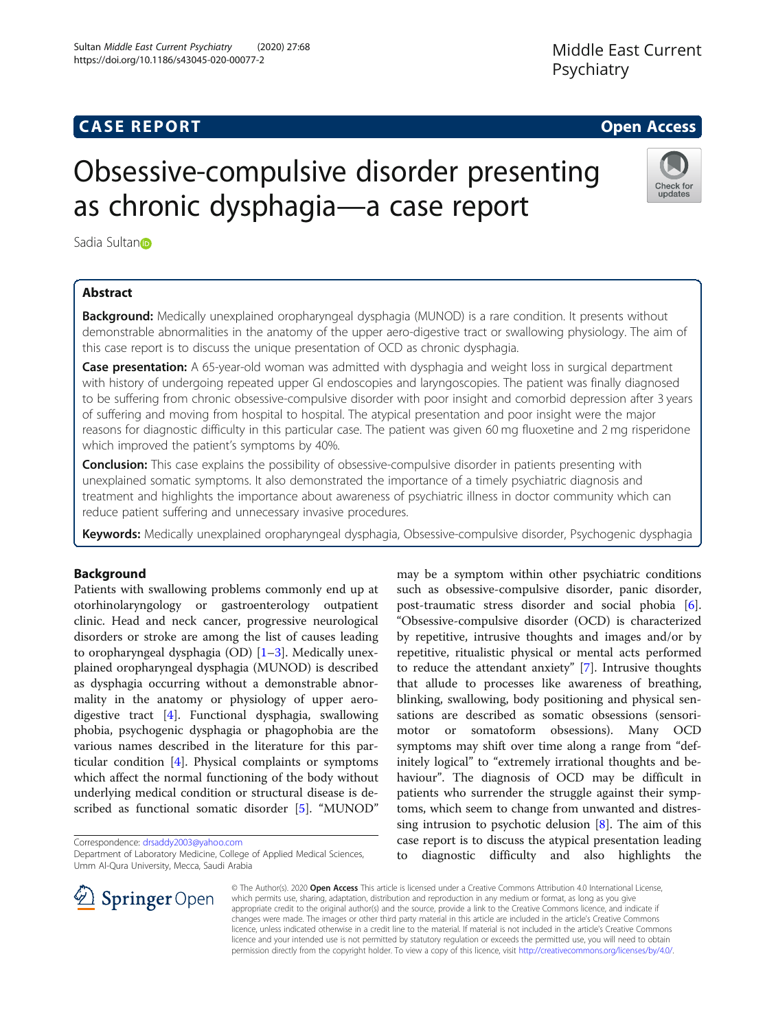## **CASE REPORT And SERVICE SERVICE SERVICE SERVICE SERVICE SERVICE SERVICE SERVICE SERVICE SERVICE SERVICE SERVICE**

Check for updates

# Obsessive-compulsive disorder presenting as chronic dysphagia—a case report

Sadia Sultan<sub>o</sub>

### Abstract

**Background:** Medically unexplained oropharyngeal dysphagia (MUNOD) is a rare condition. It presents without demonstrable abnormalities in the anatomy of the upper aero-digestive tract or swallowing physiology. The aim of this case report is to discuss the unique presentation of OCD as chronic dysphagia.

**Case presentation:** A 65-year-old woman was admitted with dysphagia and weight loss in surgical department with history of undergoing repeated upper GI endoscopies and laryngoscopies. The patient was finally diagnosed to be suffering from chronic obsessive-compulsive disorder with poor insight and comorbid depression after 3 years of suffering and moving from hospital to hospital. The atypical presentation and poor insight were the major reasons for diagnostic difficulty in this particular case. The patient was given 60 mg fluoxetine and 2 mg risperidone which improved the patient's symptoms by 40%.

**Conclusion:** This case explains the possibility of obsessive-compulsive disorder in patients presenting with unexplained somatic symptoms. It also demonstrated the importance of a timely psychiatric diagnosis and treatment and highlights the importance about awareness of psychiatric illness in doctor community which can reduce patient suffering and unnecessary invasive procedures.

Keywords: Medically unexplained oropharyngeal dysphagia, Obsessive-compulsive disorder, Psychogenic dysphagia

#### Background

Patients with swallowing problems commonly end up at otorhinolaryngology or gastroenterology outpatient clinic. Head and neck cancer, progressive neurological disorders or stroke are among the list of causes leading to oropharyngeal dysphagia (OD)  $[1-3]$  $[1-3]$  $[1-3]$ . Medically unexplained oropharyngeal dysphagia (MUNOD) is described as dysphagia occurring without a demonstrable abnormality in the anatomy or physiology of upper aerodigestive tract [\[4](#page-2-0)]. Functional dysphagia, swallowing phobia, psychogenic dysphagia or phagophobia are the various names described in the literature for this particular condition [[4\]](#page-2-0). Physical complaints or symptoms which affect the normal functioning of the body without underlying medical condition or structural disease is described as functional somatic disorder [\[5](#page-2-0)]. "MUNOD"

Correspondence: [drsaddy2003@yahoo.com](mailto:drsaddy2003@yahoo.com)

Department of Laboratory Medicine, College of Applied Medical Sciences, Umm Al-Qura University, Mecca, Saudi Arabia

may be a symptom within other psychiatric conditions such as obsessive-compulsive disorder, panic disorder, post-traumatic stress disorder and social phobia [\[6](#page-2-0)]. "Obsessive-compulsive disorder (OCD) is characterized by repetitive, intrusive thoughts and images and/or by repetitive, ritualistic physical or mental acts performed to reduce the attendant anxiety" [\[7](#page-2-0)]. Intrusive thoughts that allude to processes like awareness of breathing, blinking, swallowing, body positioning and physical sensations are described as somatic obsessions (sensorimotor or somatoform obsessions). Many OCD symptoms may shift over time along a range from "definitely logical" to "extremely irrational thoughts and behaviour". The diagnosis of OCD may be difficult in patients who surrender the struggle against their symptoms, which seem to change from unwanted and distressing intrusion to psychotic delusion [[8\]](#page-2-0). The aim of this case report is to discuss the atypical presentation leading to diagnostic difficulty and also highlights the



© The Author(s). 2020 Open Access This article is licensed under a Creative Commons Attribution 4.0 International License, which permits use, sharing, adaptation, distribution and reproduction in any medium or format, as long as you give appropriate credit to the original author(s) and the source, provide a link to the Creative Commons licence, and indicate if changes were made. The images or other third party material in this article are included in the article's Creative Commons licence, unless indicated otherwise in a credit line to the material. If material is not included in the article's Creative Commons licence and your intended use is not permitted by statutory regulation or exceeds the permitted use, you will need to obtain permission directly from the copyright holder. To view a copy of this licence, visit <http://creativecommons.org/licenses/by/4.0/>.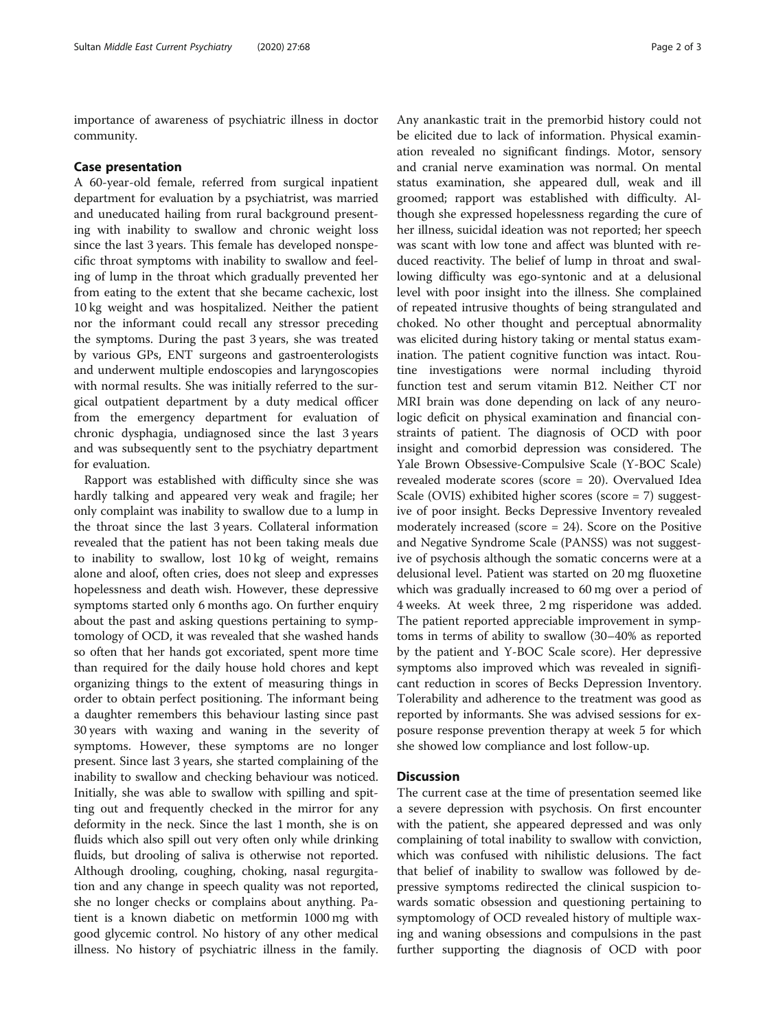importance of awareness of psychiatric illness in doctor community.

#### Case presentation

A 60-year-old female, referred from surgical inpatient department for evaluation by a psychiatrist, was married and uneducated hailing from rural background presenting with inability to swallow and chronic weight loss since the last 3 years. This female has developed nonspecific throat symptoms with inability to swallow and feeling of lump in the throat which gradually prevented her from eating to the extent that she became cachexic, lost 10 kg weight and was hospitalized. Neither the patient nor the informant could recall any stressor preceding the symptoms. During the past 3 years, she was treated by various GPs, ENT surgeons and gastroenterologists and underwent multiple endoscopies and laryngoscopies with normal results. She was initially referred to the surgical outpatient department by a duty medical officer from the emergency department for evaluation of chronic dysphagia, undiagnosed since the last 3 years and was subsequently sent to the psychiatry department for evaluation.

Rapport was established with difficulty since she was hardly talking and appeared very weak and fragile; her only complaint was inability to swallow due to a lump in the throat since the last 3 years. Collateral information revealed that the patient has not been taking meals due to inability to swallow, lost 10 kg of weight, remains alone and aloof, often cries, does not sleep and expresses hopelessness and death wish. However, these depressive symptoms started only 6 months ago. On further enquiry about the past and asking questions pertaining to symptomology of OCD, it was revealed that she washed hands so often that her hands got excoriated, spent more time than required for the daily house hold chores and kept organizing things to the extent of measuring things in order to obtain perfect positioning. The informant being a daughter remembers this behaviour lasting since past 30 years with waxing and waning in the severity of symptoms. However, these symptoms are no longer present. Since last 3 years, she started complaining of the inability to swallow and checking behaviour was noticed. Initially, she was able to swallow with spilling and spitting out and frequently checked in the mirror for any deformity in the neck. Since the last 1 month, she is on fluids which also spill out very often only while drinking fluids, but drooling of saliva is otherwise not reported. Although drooling, coughing, choking, nasal regurgitation and any change in speech quality was not reported, she no longer checks or complains about anything. Patient is a known diabetic on metformin 1000 mg with good glycemic control. No history of any other medical illness. No history of psychiatric illness in the family.

Any anankastic trait in the premorbid history could not be elicited due to lack of information. Physical examination revealed no significant findings. Motor, sensory and cranial nerve examination was normal. On mental status examination, she appeared dull, weak and ill groomed; rapport was established with difficulty. Although she expressed hopelessness regarding the cure of her illness, suicidal ideation was not reported; her speech was scant with low tone and affect was blunted with reduced reactivity. The belief of lump in throat and swallowing difficulty was ego-syntonic and at a delusional level with poor insight into the illness. She complained of repeated intrusive thoughts of being strangulated and choked. No other thought and perceptual abnormality was elicited during history taking or mental status examination. The patient cognitive function was intact. Routine investigations were normal including thyroid function test and serum vitamin B12. Neither CT nor MRI brain was done depending on lack of any neurologic deficit on physical examination and financial constraints of patient. The diagnosis of OCD with poor insight and comorbid depression was considered. The Yale Brown Obsessive-Compulsive Scale (Y-BOC Scale) revealed moderate scores (score = 20). Overvalued Idea Scale (OVIS) exhibited higher scores (score = 7) suggestive of poor insight. Becks Depressive Inventory revealed moderately increased (score = 24). Score on the Positive and Negative Syndrome Scale (PANSS) was not suggestive of psychosis although the somatic concerns were at a delusional level. Patient was started on 20 mg fluoxetine which was gradually increased to 60 mg over a period of 4 weeks. At week three, 2 mg risperidone was added. The patient reported appreciable improvement in symptoms in terms of ability to swallow (30–40% as reported by the patient and Y-BOC Scale score). Her depressive symptoms also improved which was revealed in significant reduction in scores of Becks Depression Inventory. Tolerability and adherence to the treatment was good as reported by informants. She was advised sessions for exposure response prevention therapy at week 5 for which she showed low compliance and lost follow-up.

#### **Discussion**

The current case at the time of presentation seemed like a severe depression with psychosis. On first encounter with the patient, she appeared depressed and was only complaining of total inability to swallow with conviction, which was confused with nihilistic delusions. The fact that belief of inability to swallow was followed by depressive symptoms redirected the clinical suspicion towards somatic obsession and questioning pertaining to symptomology of OCD revealed history of multiple waxing and waning obsessions and compulsions in the past further supporting the diagnosis of OCD with poor